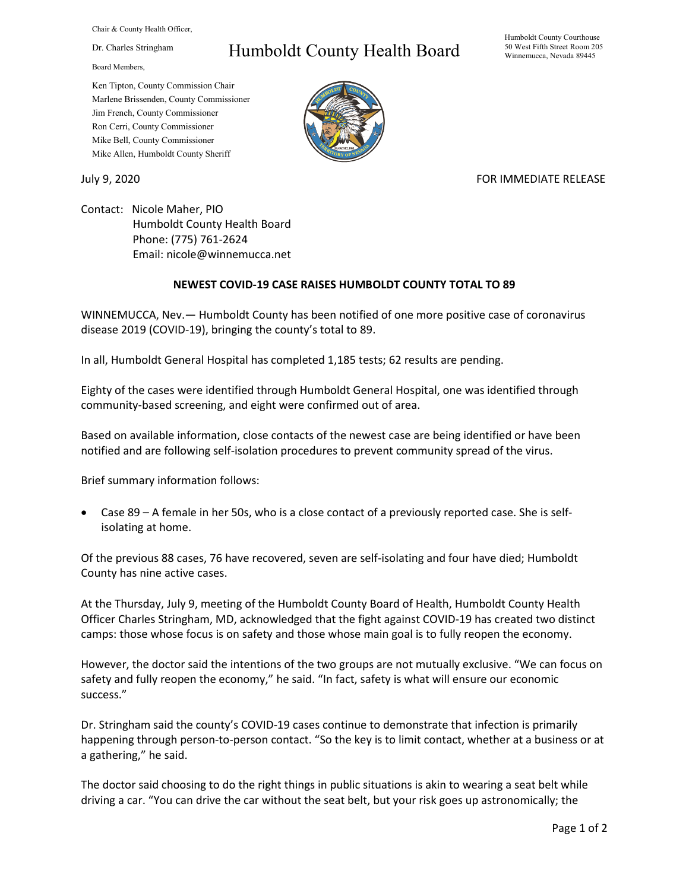Chair & County Health Officer,

Dr. Charles Stringham

Board Members,

## Humboldt County Health Board

Humboldt County Courthouse 50 West Fifth Street Room 205 Winnemucca, Nevada 89445

Ken Tipton, County Commission Chair Marlene Brissenden, County Commissioner Jim French, County Commissioner Ron Cerri, County Commissioner Mike Bell, County Commissioner Mike Allen, Humboldt County Sheriff

## July 9, 2020 **FOR IMMEDIATE RELEASE**

Contact: Nicole Maher, PIO Humboldt County Health Board Phone: (775) 761-2624 Email: nicole@winnemucca.net

## **NEWEST COVID-19 CASE RAISES HUMBOLDT COUNTY TOTAL TO 89**

WINNEMUCCA, Nev.— Humboldt County has been notified of one more positive case of coronavirus disease 2019 (COVID-19), bringing the county's total to 89.

In all, Humboldt General Hospital has completed 1,185 tests; 62 results are pending.

Eighty of the cases were identified through Humboldt General Hospital, one was identified through community-based screening, and eight were confirmed out of area.

Based on available information, close contacts of the newest case are being identified or have been notified and are following self-isolation procedures to prevent community spread of the virus.

Brief summary information follows:

• Case 89 – A female in her 50s, who is a close contact of a previously reported case. She is selfisolating at home.

Of the previous 88 cases, 76 have recovered, seven are self-isolating and four have died; Humboldt County has nine active cases.

At the Thursday, July 9, meeting of the Humboldt County Board of Health, Humboldt County Health Officer Charles Stringham, MD, acknowledged that the fight against COVID-19 has created two distinct camps: those whose focus is on safety and those whose main goal is to fully reopen the economy.

However, the doctor said the intentions of the two groups are not mutually exclusive. "We can focus on safety and fully reopen the economy," he said. "In fact, safety is what will ensure our economic success."

Dr. Stringham said the county's COVID-19 cases continue to demonstrate that infection is primarily happening through person-to-person contact. "So the key is to limit contact, whether at a business or at a gathering," he said.

The doctor said choosing to do the right things in public situations is akin to wearing a seat belt while driving a car. "You can drive the car without the seat belt, but your risk goes up astronomically; the